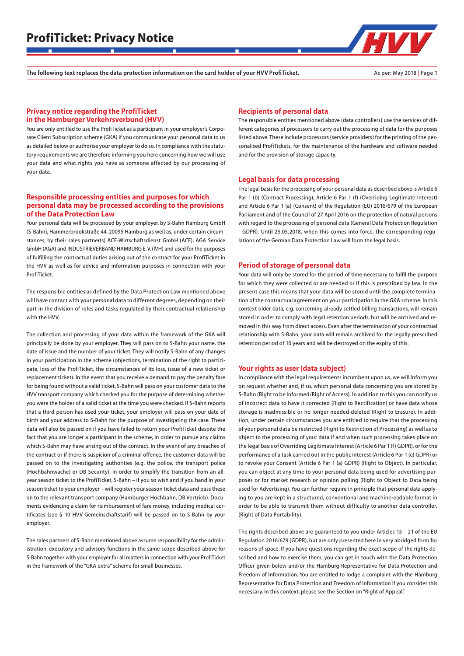The following text replaces the data protection information on the card holder of your HVV ProfiTicket. As per: May 2018 | Page 1

## Privacy notice regarding the ProfiTicket in the Hamburger Verkehrsverbund (HVV)

You are only entitled to use the ProfiTicket as a participant in your employer's Corporate Client Subscription scheme (GKA) if you communicate your personal data to us as detailed below or authorise your employer to do so. In compliance with the statutory requirements we are therefore informing you here concerning how we will use your data and what rights you have as someone affected by our processing of your data.

## Responsible processing entities and purposes for which personal data may be processed according to the provisions of the Data Protection Law

Your personal data will be processed by your employer, by S-Bahn Hamburg GmbH (S-Bahn), Hammerbrookstraße 44, 20095 Hamburg as well as, under certain circumstances, by their sales partner(s) ACE-Wirtschaftsdienst GmbH (ACE), AGA Service GmbH (AGA) and INDUSTRIEVERBAND HAMBURG E. V. (IVH) and used for the purposes of fulfilling the contractual duties arising out of the contract for your ProfiTicket in the HVV as well as for advice and information purposes in connection with your ProfiTicket.

The responsible entities as defined by the Data Protection Law mentioned above will have contact with your personal data to different degrees, depending on their part in the division of roles and tasks regulated by their contractual relationship with the HVV.

The collection and processing of your data within the framework of the GKA will principally be done by your employer. They will pass on to S-Bahn your name, the date of issue and the number of your ticket. They will notify S-Bahn of any changes in your participation in the scheme (objections, termination of the right to participate, loss of the ProfiTicket, the circumstances of its loss, issue of a new ticket or replacement ticket). In the event that you receive a demand to pay the penalty fare for being found without a valid ticket, S-Bahn will pass on your customer data to the HVV transport company which checked you for the purpose of determining whether you were the holder of a valid ticket at the time you were checked. If S-Bahn reports that a third person has used your ticket, your employer will pass on your date of birth and your address to S-Bahn for the purpose of investigating the case. These data will also be passed on if you have failed to return your ProfiTicket despite the fact that you are longer a participant in the scheme, in order to pursue any claims which S-Bahn may have arising out of the contract. In the event of any breaches of the contract or if there is suspicion of a criminal offence, the customer data will be passed on to the investigating authorities (e.g. the police, the transport police (Hochbahnwache) or DB Security). In order to simplify the transition from an allyear season ticket to the ProfiTicket, S-Bahn – if you so wish and if you hand in your season ticket to your employer – will register your season ticket data and pass these on to the relevant transport company (Hamburger Hochbahn, DB Vertrieb). Documents evidencing a claim for reimbursement of fare money, including medical certificates (see § 10 HVV-Gemeinschaftstarif) will be passed on to S-Bahn by your employer.

The sales partners of S-Bahn mentioned above assume responsibility for the administration, executory and advisory functions in the same scope described above for S-Bahn together with your employer for all matters in connection with your ProfiTicket in the framework of the "GKA extra" scheme for small businesses.

#### Recipients of personal data

The responsible entities mentioned above (data controllers) use the services of different categories of processors to carry out the processing of data for the purposes listed above. These include processors (service providers) for the printing of the personalised ProfiTickets, for the maintenance of the hardware and software needed and for the provision of storage capacity.

#### Legal basis for data processing

The legal basis for the processing of your personal data as described above is Article 6 Par 1 (b) (Contract Processing), Article 6 Par 1 (f) (Overriding Legitimate Interest) and Article 6 Par 1 (a) (Consent) of the Regulation (EU) 2016/679 of the European Parliament and of the Council of 27 April 2016 on the protection of natural persons with regard to the processing of personal data (General Data Protection Regulation - GDPR). Until 25.05.2018, when this comes into force, the corresponding regulations of the German Data Protection Law will form the legal basis.

#### Period of storage of personal data

Your data will only be stored for the period of time necessary to fulfil the purpose for which they were collected or are needed or if this is prescribed by law. In the present case this means that your data will be stored until the complete termination of the contractual agreement on your participation in the GKA scheme. In this context older data, e.g. concerning already settled billing transactions, will remain stored in order to comply with legal retention periods, but will be archived and removed in this way from direct access. Even after the termination of your contractual relationship with S-Bahn, your data will remain archived for the legally prescribed retention period of 10 years and will be destroyed on the expiry of this.

#### Your rights as user (data subject)

In compliance with the legal requirements incumbent upon us, we will inform you on request whether and, if so, which personal data concerning you are stored by S-Bahn (Right to be Informed/Right of Access). In addition to this you can notify us of incorrect data to have it corrected (Right to Rectification) or have data whose storage is inadmissible or no longer needed deleted (Right to Erasure). In addition, under certain circumstances you are entitled to require that the processing of your personal data be restricted (Right to Restriction of Processing) as well as to object to the processing of your data if and when such processing takes place on the legal basis of Overriding Legitimate Interest (Article 6 Par 1 (f) GDPR), or for the performance of a task carried out in the public interest (Article 6 Par 1 (e) GDPR) or to revoke your Consent (Article 6 Par 1 (a) GDPR) (Right to Object). In particular, you can object at any time to your personal data being used for advertising purposes or for market research or opinion polling (Right to Object to Data being used for Advertising). You can further require in principle that personal data applying to you are kept in a structured, conventional and machinereadable format in order to be able to transmit them without difficulty to another data controller. (Right of Data Portability).

The rights described above are guaranteed to you under Articles 15 – 21 of the EU Regulation 2016/679 (GDPR), but are only presented here in very abridged form for reasons of space. If you have questions regarding the exact scope of the rights described and how to exercise them, you can get in touch with the Data Protection Officer given below and/or the Hamburg Representative for Data Protection and Freedom of Information. You are entitled to lodge a complaint with the Hamburg Representative for Data Protection and Freedom of Information if you consider this necessary. In this context, please see the Section on "Right of Appeal".